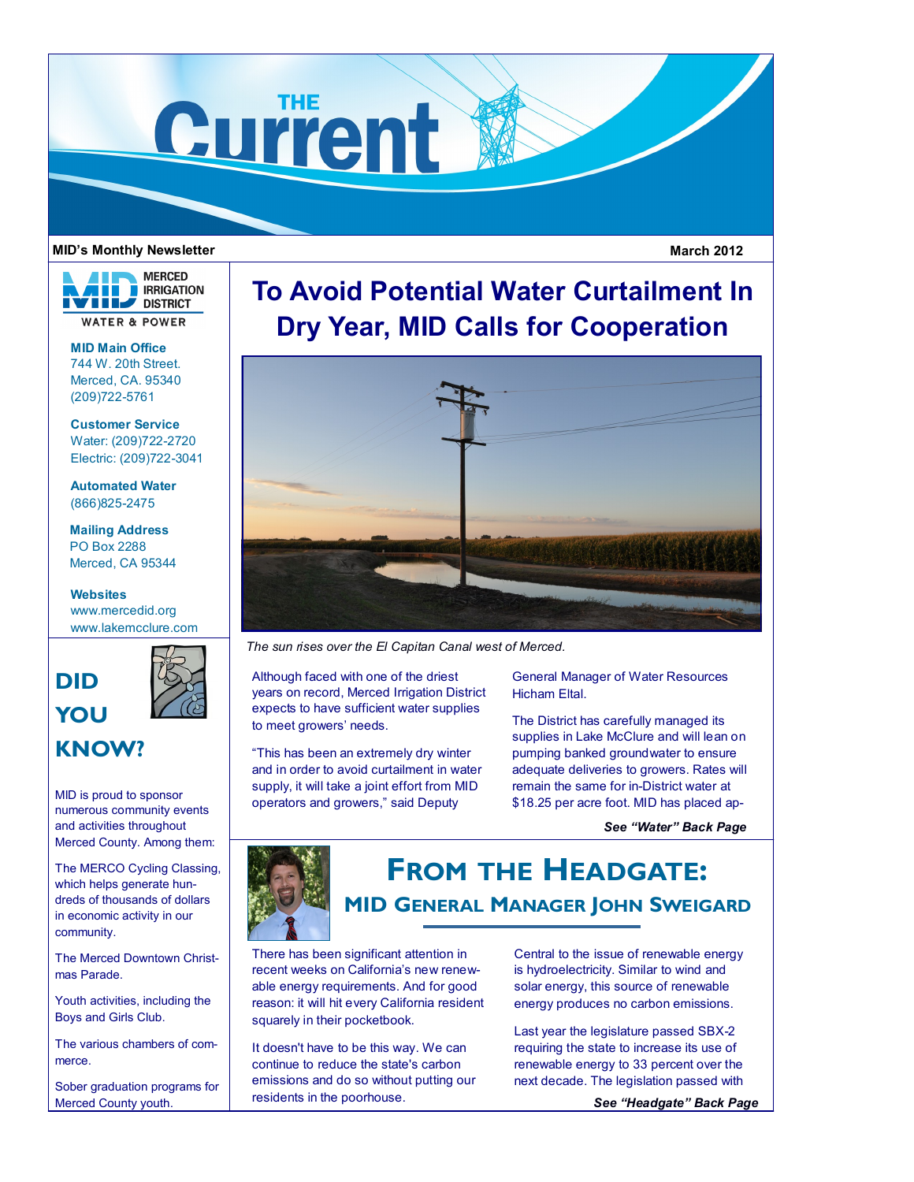

### **MID's Monthly Newsletter**

 **March 2012**



**MID Main Office** 744 W. 20th Street. Merced, CA. 95340 (209)722-5761

**Customer Service** Water: (209)722-2720 Electric: (209)722-3041

**Automated Water** (866)825-2475

**Mailing Address** PO Box 2288 Merced, CA 95344

**Websites** www.mercedid.org www.lakemcclure.com



# **KNOW?**

MID is proud to sponsor numerous community events and activities throughout Merced County. Among them:

The MERCO Cycling Classing, which helps generate hundreds of thousands of dollars in economic activity in our community.

The Merced Downtown Christmas Parade.

Youth activities, including the Boys and Girls Club.

The various chambers of commerce.

Sober graduation programs for Merced County youth.

# **To Avoid Potential Water Curtailment In Dry Year, MID Calls for Cooperation**



*The sun rises over the El Capitan Canal west of Merced.*

Although faced with one of the driest years on record, Merced Irrigation District expects to have sufficient water supplies to meet growers' needs.

"This has been an extremely dry winter and in order to avoid curtailment in water supply, it will take a joint effort from MID operators and growers," said Deputy

General Manager of Water Resources Hicham Eltal.

The District has carefully managed its supplies in Lake McClure and will lean on pumping banked groundwater to ensure adequate deliveries to growers. Rates will remain the same for in-District water at \$18.25 per acre foot. MID has placed ap-

*See "Water" Back Page*



## **FROM THE HEADGATE: MID GENERAL MANAGER JOHN SWEIGARD**

There has been significant attention in recent weeks on California's new renewable energy requirements. And for good reason: it will hit every California resident squarely in their pocketbook.

It doesn't have to be this way. We can continue to reduce the state's carbon emissions and do so without putting our residents in the poorhouse.

Central to the issue of renewable energy is hydroelectricity. Similar to wind and solar energy, this source of renewable energy produces no carbon emissions.

Last year the legislature passed SBX-2 requiring the state to increase its use of renewable energy to 33 percent over the next decade. The legislation passed with

*See "Headgate" Back Page*